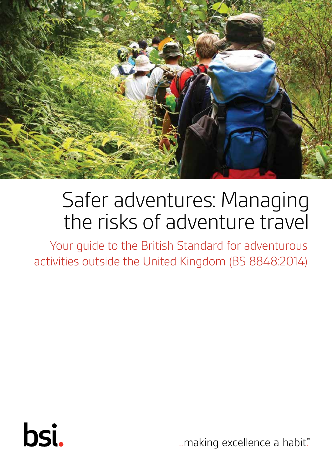

# Safer adventures: Managing the risks of adventure travel

Your guide to the British Standard for adventurous activities outside the United Kingdom (BS 8848:2014)



... making excellence a habit."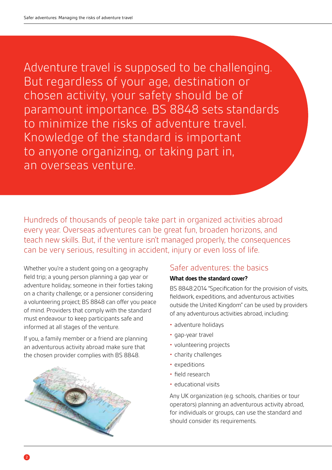Adventure travel is supposed to be challenging. But regardless of your age, destination or chosen activity, your safety should be of paramount importance. BS 8848 sets standards to minimize the risks of adventure travel. Knowledge of the standard is important to anyone organizing, or taking part in, an overseas venture.

Hundreds of thousands of people take part in organized activities abroad every year. Overseas adventures can be great fun, broaden horizons, and teach new skills. But, if the venture isn't managed properly, the consequences can be very serious, resulting in accident, injury or even loss of life.

Whether you're a student going on a geography field trip; a young person planning a gap year or adventure holiday; someone in their forties taking on a charity challenge; or a pensioner considering a volunteering project; BS 8848 can offer you peace of mind. Providers that comply with the standard must endeavour to keep participants safe and informed at all stages of the venture.

If you, a family member or a friend are planning an adventurous activity abroad make sure that the chosen provider complies with BS 8848.



### Safer adventures: the basics

#### **What does the standard cover?**

BS 8848:2014 "Specification for the provision of visits, fieldwork, expeditions, and adventurous activities outside the United Kingdom" can be used by providers of any adventurous activities abroad, including:

- adventure holidays
- gap-year travel
- volunteering projects
- charity challenges
- expeditions
- field research
- educational visits

Any UK organization (e.g. schools, charities or tour operators) planning an adventurous activity abroad, for individuals or groups, can use the standard and should consider its requirements.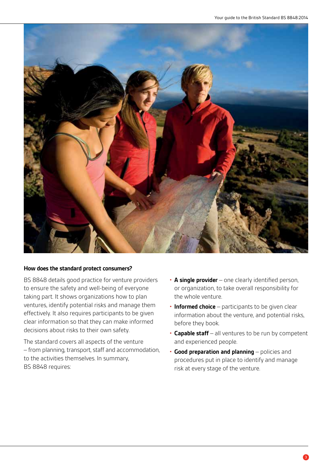

#### **How does the standard protect consumers?**

BS 8848 details good practice for venture providers to ensure the safety and well-being of everyone taking part. It shows organizations how to plan ventures, identify potential risks and manage them effectively. It also requires participants to be given clear information so that they can make informed decisions about risks to their own safety.

The standard covers all aspects of the venture – from planning, transport, staff and accommodation, to the activities themselves. In summary, BS 8848 requires:

- **A single provider**  one clearly identified person, or organization, to take overall responsibility for the whole venture.
- **Informed choice**  participants to be given clear information about the venture, and potential risks, before they book.
- **Capable staff**  all ventures to be run by competent and experienced people.
- **Good preparation and planning**  policies and procedures put in place to identify and manage risk at every stage of the venture.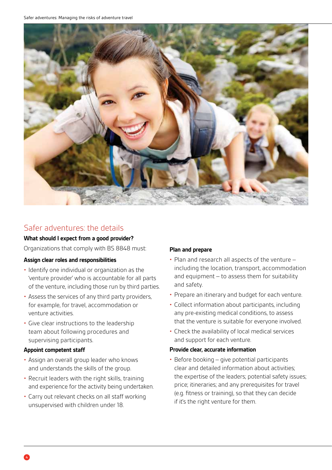Safer adventures: Managing the risks of adventure travel



## Safer adventures: the details

#### **What should I expect from a good provider?**

Organizations that comply with BS 8848 must:

#### **Assign clear roles and responsibilities**

- Identify one individual or organization as the 'venture provider' who is accountable for all parts of the venture, including those run by third parties.
- Assess the services of any third party providers, for example, for travel, accommodation or venture activities.
- Give clear instructions to the leadership team about following procedures and supervising participants.

#### **Appoint competent staff**

- Assign an overall group leader who knows and understands the skills of the group.
- Recruit leaders with the right skills, training and experience for the activity being undertaken.
- Carry out relevant checks on all staff working unsupervised with children under 18.

#### **Plan and prepare**

- Plan and research all aspects of the venture including the location, transport, accommodation and equipment – to assess them for suitability and safety.
- Prepare an itinerary and budget for each venture.
- Collect information about participants, including any pre-existing medical conditions, to assess that the venture is suitable for everyone involved.
- Check the availability of local medical services and support for each venture.

#### **Provide clear, accurate information**

• Before booking – give potential participants clear and detailed information about activities; the expertise of the leaders; potential safety issues; price; itineraries; and any prerequisites for travel (e.g. fitness or training), so that they can decide if it's the right venture for them.

4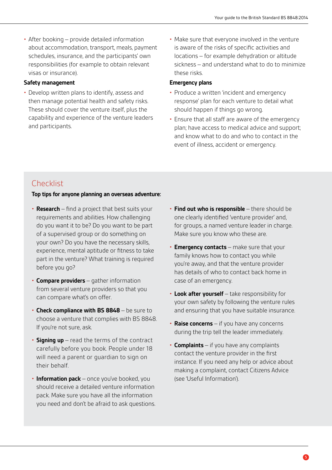• After booking – provide detailed information about accommodation, transport, meals, payment schedules, insurance, and the participants' own responsibilities (for example to obtain relevant visas or insurance).

#### **Safety management**

- Develop written plans to identify, assess and then manage potential health and safety risks. These should cover the venture itself, plus the capability and experience of the venture leaders and participants.
- Make sure that everyone involved in the venture is aware of the risks of specific activities and locations – for example dehydration or altitude sickness – and understand what to do to minimize these risks.

#### **Emergency plans**

- Produce a written 'incident and emergency response' plan for each venture to detail what should happen if things go wrong.
- Ensure that all staff are aware of the emergency plan; have access to medical advice and support; and know what to do and who to contact in the event of illness, accident or emergency.

## **Checklist**

#### **Top tips for anyone planning an overseas adventure:**

- **Research**  find a project that best suits your requirements and abilities. How challenging do you want it to be? Do you want to be part of a supervised group or do something on your own? Do you have the necessary skills, experience, mental aptitude or fitness to take part in the venture? What training is required before you go?
- **Compare providers**  gather information from several venture providers so that you can compare what's on offer.
- **Check compliance with BS 8848**  be sure to choose a venture that complies with BS 8848. If you're not sure, ask.
- **Signing up**  read the terms of the contract carefully before you book. People under 18 will need a parent or guardian to sign on their behalf.
- **Information pack**  once you've booked, you should receive a detailed venture information pack. Make sure you have all the information you need and don't be afraid to ask questions.
- **Find out who is responsible**  there should be one clearly identified 'venture provider' and, for groups, a named venture leader in charge. Make sure you know who these are.
- **Emergency contacts**  make sure that your family knows how to contact you while you're away, and that the venture provider has details of who to contact back home in case of an emergency.
- **Look after yourself**  take responsibility for your own safety by following the venture rules and ensuring that you have suitable insurance.
- **Raise concerns**  if you have any concerns during the trip tell the leader immediately.
- **Complaints**  if you have any complaints contact the venture provider in the first instance. If you need any help or advice about making a complaint, contact Citizens Advice (see 'Useful Information').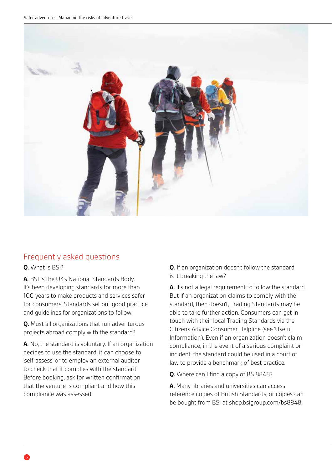

## Frequently asked questions

**Q.** What is BSI?

**A.** BSI is the UK's National Standards Body. It's been developing standards for more than 100 years to make products and services safer for consumers. Standards set out good practice and guidelines for organizations to follow.

**Q.** Must all organizations that run adventurous projects abroad comply with the standard?

**A.** No, the standard is voluntary. If an organization decides to use the standard, it can choose to 'self-assess' or to employ an external auditor to check that it complies with the standard. Before booking, ask for written confirmation that the venture is compliant and how this compliance was assessed.

**Q.** If an organization doesn't follow the standard is it breaking the law?

**A.** It's not a legal requirement to follow the standard. But if an organization claims to comply with the standard, then doesn't, Trading Standards may be able to take further action. Consumers can get in touch with their local Trading Standards via the Citizens Advice Consumer Helpline (see 'Useful Information'). Even if an organization doesn't claim compliance, in the event of a serious complaint or incident, the standard could be used in a court of law to provide a benchmark of best practice.

**Q.** Where can I find a copy of BS 8848?

**A.** Many libraries and universities can access reference copies of British Standards, or copies can be bought from BSI at shop.bsigroup.com/bs8848.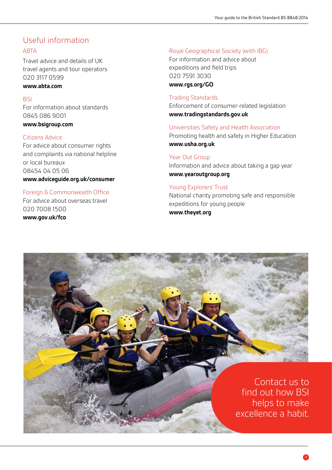## Useful information

#### ABTA

Travel advice and details of UK travel agents and tour operators 020 3117 0599

#### **www.abta.com**

#### **BSI**

For information about standards 0845 086 9001 **www.bsigroup.com**

## Citizens Advice

For advice about consumer rights and complaints via national helpline or local bureaux 08454 04 05 06 **www.adviceguide.org.uk/consumer**

#### Foreign & Commonwealth Office

For advice about overseas travel 020 7008 1500 **www.gov.uk/fco**

#### Royal Geographical Society (with IBG)

For information and advice about expeditions and field trips 020 7591 3030 **www.rgs.org/GO**

#### Trading Standards

Enforcement of consumer-related legislation **www.tradingstandards.gov.uk**

#### Universities Safety and Health Association

Promoting health and safety in Higher Education **www.usha.org.uk**

#### Year Out Group

Information and advice about taking a gap year **www.yearoutgroup.org**

#### Young Explorers' Trust

National charity promoting safe and responsible expeditions for young people **www.theyet.org**